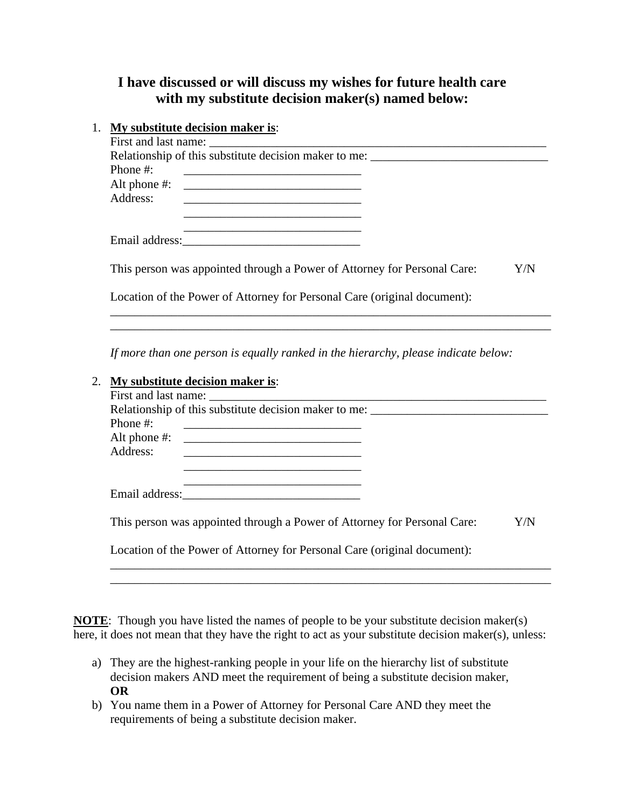## **I have discussed or will discuss my wishes for future health care with my substitute decision maker(s) named below:**

## 1. **My substitute decision maker is**:

| Relationship of this substitute decision maker to me:                    |     |
|--------------------------------------------------------------------------|-----|
| Phone $\#$ :                                                             |     |
|                                                                          |     |
| Address:<br><u> 2000 - Jan Alexander Alexander (h. 1888).</u>            |     |
|                                                                          |     |
|                                                                          |     |
|                                                                          |     |
|                                                                          |     |
| This person was appointed through a Power of Attorney for Personal Care: | Y/N |
|                                                                          |     |
| Location of the Power of Attorney for Personal Care (original document): |     |

\_\_\_\_\_\_\_\_\_\_\_\_\_\_\_\_\_\_\_\_\_\_\_\_\_\_\_\_\_\_\_\_\_\_\_\_\_\_\_\_\_\_\_\_\_\_\_\_\_\_\_\_\_\_\_\_\_\_\_\_\_\_\_\_\_\_\_\_\_\_\_\_ \_\_\_\_\_\_\_\_\_\_\_\_\_\_\_\_\_\_\_\_\_\_\_\_\_\_\_\_\_\_\_\_\_\_\_\_\_\_\_\_\_\_\_\_\_\_\_\_\_\_\_\_\_\_\_\_\_\_\_\_\_\_\_\_\_\_\_\_\_\_\_\_

*If more than one person is equally ranked in the hierarchy, please indicate below:*

## 2. **My substitute decision maker is**:

| Relationship of this substitute decision maker to me:                                                                           |  |
|---------------------------------------------------------------------------------------------------------------------------------|--|
| Phone $\#$ :                                                                                                                    |  |
|                                                                                                                                 |  |
| Address:<br><u> 1980 - Jan Samuel Barbara, margaret e populari e populari e populari e populari e populari e populari e pop</u> |  |
|                                                                                                                                 |  |
|                                                                                                                                 |  |
|                                                                                                                                 |  |
|                                                                                                                                 |  |
| This person was appointed through a Power of Attorney for Personal Care:<br>Y/N                                                 |  |
|                                                                                                                                 |  |
| Location of the Power of Attorney for Personal Care (original document):                                                        |  |

\_\_\_\_\_\_\_\_\_\_\_\_\_\_\_\_\_\_\_\_\_\_\_\_\_\_\_\_\_\_\_\_\_\_\_\_\_\_\_\_\_\_\_\_\_\_\_\_\_\_\_\_\_\_\_\_\_\_\_\_\_\_\_\_\_\_\_\_\_\_\_\_ \_\_\_\_\_\_\_\_\_\_\_\_\_\_\_\_\_\_\_\_\_\_\_\_\_\_\_\_\_\_\_\_\_\_\_\_\_\_\_\_\_\_\_\_\_\_\_\_\_\_\_\_\_\_\_\_\_\_\_\_\_\_\_\_\_\_\_\_\_\_\_\_

**NOTE**: Though you have listed the names of people to be your substitute decision maker(s) here, it does not mean that they have the right to act as your substitute decision maker(s), unless:

- a) They are the highest-ranking people in your life on the hierarchy list of substitute decision makers AND meet the requirement of being a substitute decision maker, **OR**
- b) You name them in a Power of Attorney for Personal Care AND they meet the requirements of being a substitute decision maker.